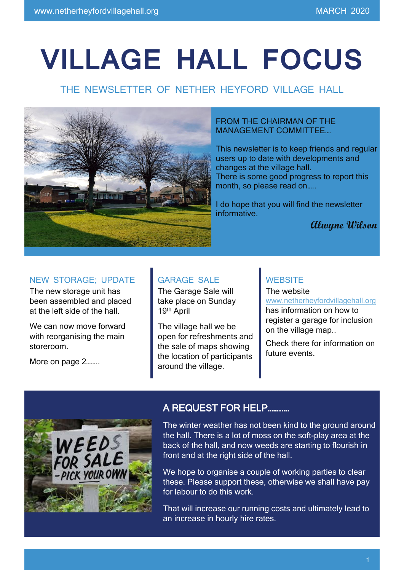# **VILLAGE HALL FOCUS**

## THE NEWSLETTER OF NETHER HEYFORD VILLAGE HALL



#### FROM THE CHAIRMAN OF THE MANAGEMENT COMMITTEE….

This newsletter is to keep friends and regular users up to date with developments and changes at the village hall. There is some good progress to report this month, so please read on…..

I do hope that you will find the newsletter informative.

 **Alwyne Wilson**

## NEW STORAGE; UPDATE

The new storage unit has been assembled and placed at the left side of the hall.

We can now move forward with reorganising the main storeroom.

More on page 2……..

## GARAGE SALE

The Garage Sale will take place on Sunday 19th April

The village hall we be open for refreshments and the sale of maps showing the location of participants around the village.

#### **WEBSITE**

The website [www.netherheyfordvillagehall.org](http://www.netherheyfordvillagehall.org/) has information on how to register a garage for inclusion on the village map..

Check there for information on future events.



## A REQUEST FOR HELP……..…

The winter weather has not been kind to the ground around the hall. There is a lot of moss on the soft-play area at the back of the hall, and now weeds are starting to flourish in front and at the right side of the hall.

We hope to organise a couple of working parties to clear these. Please support these, otherwise we shall have pay for labour to do this work.

That will increase our running costs and ultimately lead to an increase in hourly hire rates.